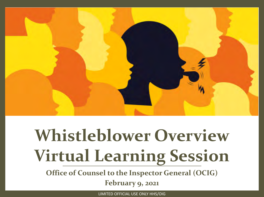

# **Whistleblower Overview Virtual Learning Session**

**Office of Counsel to the Inspector General (OCIG)** 

**February 9, 2021**

LIMITED OFFICIAL USE ONLY HHS/OIG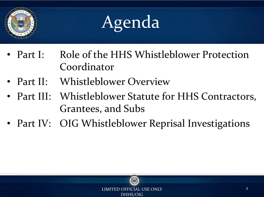

# Agenda

- Part I: Role of the HHS Whistleblower Protection Coordinator
- Part II: Whistleblower Overview
- Part III: Whistleblower Statute for HHS Contractors, Grantees, and Subs
- Part IV: OIG Whistleblower Reprisal Investigations

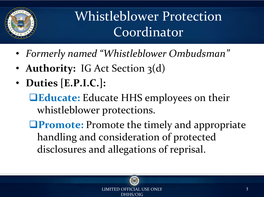

### Whistleblower Protection Coordinator

- *Formerly named "Whistleblower Ombudsman"*
- **Authority:** IG Act Section 3(d)
- **Duties [E.P.I.C.]:** 
	- **QEducate:** Educate HHS employees on their whistleblower protections.
	- **<u><b>Promote:**</u> Promote the timely and appropriate handling and consideration of protected disclosures and allegations of reprisal.



LOFFICIAL USE ONLY SERVICES AND THE SERVICES OF STREET AND THE SERVICES  $\overline{3}$ DHHS/OIG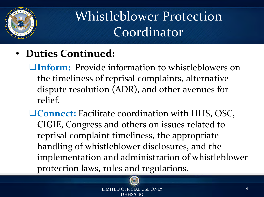

### Whistleblower Protection Coordinator

- **Duties Continued:** 
	- **QInform:** Provide information to whistleblowers on the timeliness of reprisal complaints, alternative dispute resolution (ADR), and other avenues for relief.
	- **QConnect:** Facilitate coordination with HHS, OSC, CIGIE, Congress and others on issues related to reprisal complaint timeliness, the appropriate handling of whistleblower disclosures, and the implementation and administration of whistleblower protection laws, rules and regulations.

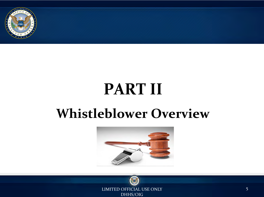

# **PART II**

### **Whistleblower Overview**



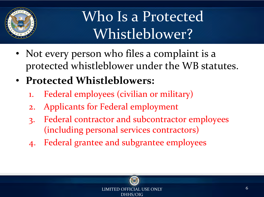

### Who Is a Protected Whistleblower?

- Not every person who files a complaint is a protected whistleblower under the WB statutes.
- **Protected Whistleblowers:** 
	- 1. Federal employees (civilian or military)
	- 2. Applicants for Federal employment
	- 3. Federal contractor and subcontractor employees (including personal services contractors)
	- 4. Federal grantee and subgrantee employees

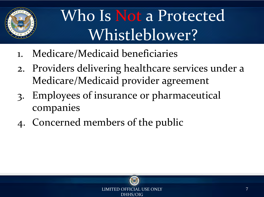

# Who Is Not a Protected Whistleblower?

- 1. Medicare/Medicaid beneficiaries
- 2. Providers delivering healthcare services under a Medicare/Medicaid provider agreement
- 3. Employees of insurance or pharmaceutical companies
- 4. Concerned members of the public

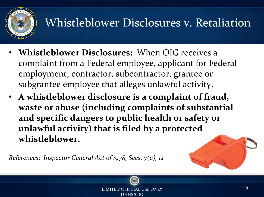

### Whistleblower Disclosures v. Retaliation

- **Whistleblower Disclosures:** When OIG receives a complaint from a Federal employee, applicant for Federal employment, contractor, subcontractor, grantee or subgrantee employee that alleges unlawful activity .
- **A whistleblower disclosure is a complaint of fraud, waste or abuse (including complaints of substantial and specific dangers to public health or safety or unlawful activity) that is filed by a protected whistleblower.**

*References: Inspector General Act of 1978, Secs. 7(a), 12*





THE OFFICIAL USE ONLY  $\qquad \qquad 8$ DHHS/OIG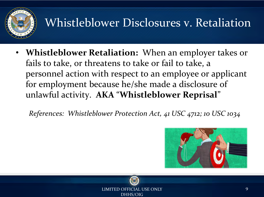

### Whistleblower Disclosures v. Retaliation

• **Whistleblower Retaliation:** When an employer takes or fails to take, or threatens to take or fail to take, a personnel action with respect to an employee or applicant for employment because he/she made a disclosure of unlawful activity. **AKA** "**Whistleblower Reprisal**"

*References: Whistleblower Protection Act, 41 USC 4712; 10 USC 1034* 



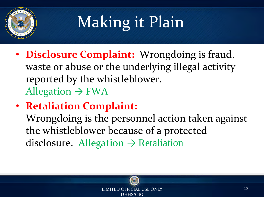

# Making it Plain

- **Disclosure Complaint:** Wrongdoing is fraud, waste or abuse or the underlying illegal activity reported by the whistleblower. Allegation  $\rightarrow$  FWA
- **Retaliation Complaint:**

Wrongdoing is the personnel action taken against the whistleblower because of a protected disclosure. Allegation  $\rightarrow$  Retaliation



ED OFFICIAL USE ONLY 10 and 20 years of the control of the control of the control of the control of the control o DHHS/OIG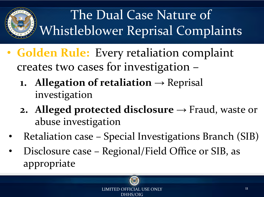

### The Dual Case Nature of Whistleblower Reprisal Complaints

- **Golden Rule:** Every retaliation complaint creates two cases for investigation –
	- **1. Allegation of retaliation**  $\rightarrow$  Reprisal investigation
	- **2. Alleged protected disclosure**  $\rightarrow$  Fraud, waste or abuse investigation
	- Retaliation case Special Investigations Branch (SIB)
	- Disclosure case Regional/Field Office or SIB, as appropriate

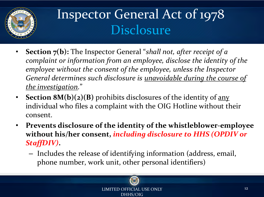

### Inspector General Act of 1978 Disclosure

- **Section 7(b):** The Inspector General "*shall not, after receipt of a complaint or information from an employee, disclose the identity of the employee without the consent of the employee, unless the Inspector General determines such disclosure is unavoidable during the course of the investigation.*"
- **Section 8M(b)(2)(B)** prohibits disclosures of the identity of <u>any</u> individual who files a complaint with the OIG Hotline without their consent.
- **Prevents disclosure of the identity of the whistleblower employee without his/her consent,** *including disclosure to HHS (OPDIV or StaffDIV)***.** 
	- Includes the release of identifying information (address, email, phone number, work unit, other personal identifiers)



LIMITED OFFICIAL USE ONLY 12 22 22 DHHS/OIG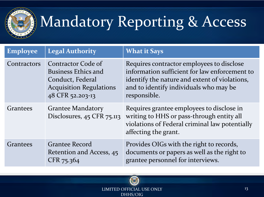

# Mandatory Reporting & Access

| <b>Employee</b> | <b>Legal Authority</b>                                                                                                     | <b>What it Says</b>                                                                                                                                                                                   |
|-----------------|----------------------------------------------------------------------------------------------------------------------------|-------------------------------------------------------------------------------------------------------------------------------------------------------------------------------------------------------|
| Contractors     | Contractor Code of<br><b>Business Ethics and</b><br>Conduct, Federal<br><b>Acquisition Regulations</b><br>48 CFR 52.203-13 | Requires contractor employees to disclose<br>information sufficient for law enforcement to<br>identify the nature and extent of violations,<br>and to identify individuals who may be<br>responsible. |
| Grantees        | <b>Grantee Mandatory</b><br>Disclosures, 45 CFR 75.113                                                                     | Requires grantee employees to disclose in<br>writing to HHS or pass-through entity all<br>violations of Federal criminal law potentially<br>affecting the grant.                                      |
| Grantees        | <b>Grantee Record</b><br>Retention and Access, 45<br>CFR 75.364                                                            | Provides OIGs with the right to records,<br>documents or papers as well as the right to<br>grantee personnel for interviews.                                                                          |



LIMITED OFFICIAL USE ONLY 13 DHHS/OIG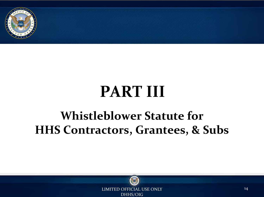

# **PART III**

#### **Whistleblower Statute for HHS Contractors, Grantees, & Subs**



LIMITED OFFICIAL USE ONLY 14 DHHS/OIG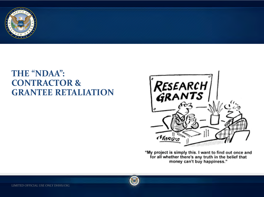

#### **THE "NDAA": CONTRACTOR & GRANTEE RETALIATION**



"My project is simply this. I want to find out once and<br>for all whether there's any truth in the belief that money can't buy happiness."

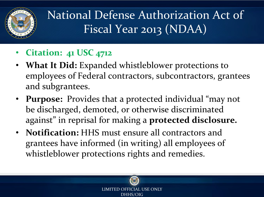

National Defense Authorization Act of Fiscal Year 2013 (NDAA)

- **Citation: 41 USC 4712**
- **What It Did:** Expanded whistleblower protections to employees of Federal contractors, subcontractors, grantees and subgrantees.
- **Purpose:** Provides that a protected individual "may not be discharged, demoted, or otherwise discriminated against" in reprisal for making a **protected disclosure.**
- **Notification:** HHS must ensure all contractors and grantees have informed (in writing) all employees of whistleblower protections rights and remedies.



DHHS/OIG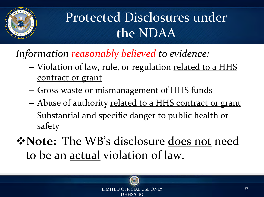

### Protected Disclosures under the NDAA

*Information reasonably believed to evidence:* 

- Violation of law, rule, or regulation related to a HHS contract or grant
- Gross waste or mismanagement of HHS funds
- Abuse of authority related to a HHS contract or grant
- Substantial and specific danger to public health or safety
- v**Note:** The WB's disclosure does not need to be an actual violation of law.

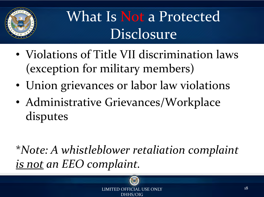

### What Is Not a Protected Disclosure

- Violations of Title VII discrimination laws (exception for military members)
- Union grievances or labor law violations
- Administrative Grievances/Workplace disputes

\**Note: A whistleblower retaliation complaint is not an EEO complaint.*

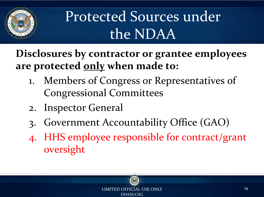

### Protected Sources under the NDAA

**Disclosures by contractor or grantee employees are protected only when made to:** 

- 1. Members of Congress or Representatives of Congressional Committees
- 2. Inspector General
- 3. Government Accountability Office (GAO)
- 4. HHS employee responsible for contract/grant oversight

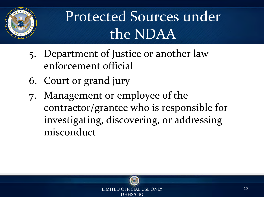

### Protected Sources under the NDAA

- 5. Department of Justice or another law enforcement official
- 6. Court or grand jury
- 7. Management or employee of the contractor/grantee who is responsible for investigating, discovering, or addressing misconduct

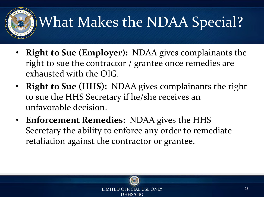# What Makes the NDAA Special?

- **Right to Sue (Employer):** NDAA gives complainants the right to sue the contractor / grantee once remedies are exhausted with the OIG.
- **Right to Sue (HHS):** NDAA gives complainants the right to sue the HHS Secretary if he/she receives an unfavorable decision.
- **Enforcement Remedies:** NDAA gives the HHS Secretary the ability to enforce any order to remediate retaliation against the contractor or grantee.

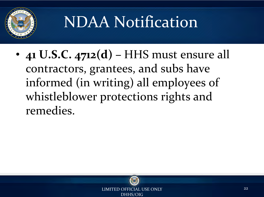

# NDAA Notification

• **41 U.S.C. 4712(d) –** HHS must ensure all contractors, grantees, and subs have informed (in writing) all employees of whistleblower protections rights and remedies.

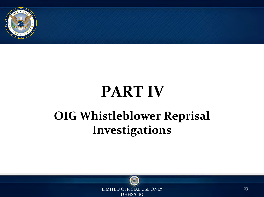

### **PART IV OIG Whistleblower Reprisal Investigations**



LIMITED OFFICIAL USE ONLY 23 DHHS/OIG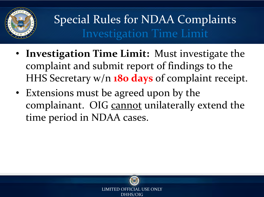

### Special Rules for NDAA Complaints Investigation Time Limit

- **Investigation Time Limit:** Must investigate the complaint and submit report of findings to the HHS Secretary w/n **180 days** of complaint receipt.
- Extensions must be agreed upon by the complainant. OIG cannot unilaterally extend the time period in NDAA cases.

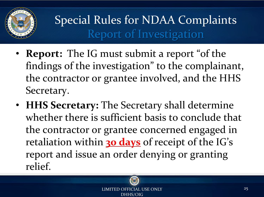

### Special Rules for NDAA Complaints Report of Investigation

- **Report:** The IG must submit a report "of the findings of the investigation" to the complainant, the contractor or grantee involved, and the HHS Secretary.
- **HHS Secretary:** The Secretary shall determine whether there is sufficient basis to conclude that the contractor or grantee concerned engaged in retaliation within **30 days** of receipt of the IG's report and issue an order denying or granting relief.

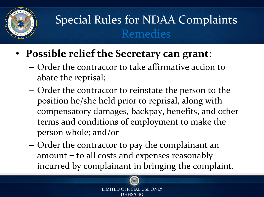

### Special Rules for NDAA Complaints Remedies

- **Possible relief the Secretary can grant**:
	- Order the contractor to take affirmative action to abate the reprisal;
	- Order the contractor to reinstate the person to the position he/she held prior to reprisal, along with compensatory damages, backpay, benefits, and other terms and conditions of employment to make the person whole; and/or
	- Order the contractor to pay the complainant an amount = to all costs and expenses reasonably incurred by complainant in bringing the complaint.



LIMITED OFFICIAL USE ONLY DHHS/OIG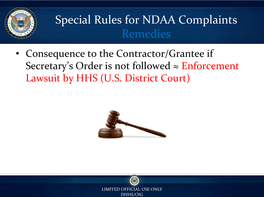

#### Special Rules for NDAA Complaints Remedies

• Consequence to the Contractor/Grantee if Secretary's Order is not followed  $\approx$  Enforcement Lawsuit by HHS (U.S. District Court)



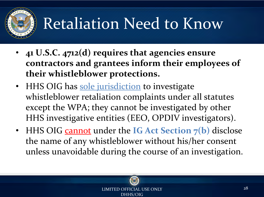# Retaliation Need to Know

- **41 U.S.C. 4712(d) requires that agencies ensure contractors and grantees inform their employees of their whistleblower protections.**
- HHS OIG has sole jurisdiction to investigate whistleblower retaliation complaints under all statutes except the WPA; they cannot be investigated by other HHS investigative entities (EEO, OPDIV investigators).
- HHS OIG cannot under the **IG** Act Section 7(b) disclose the name of any whistleblower without his/her consent unless unavoidable during the course of an investigation.



The official use only  $28$ DHHS/OIG